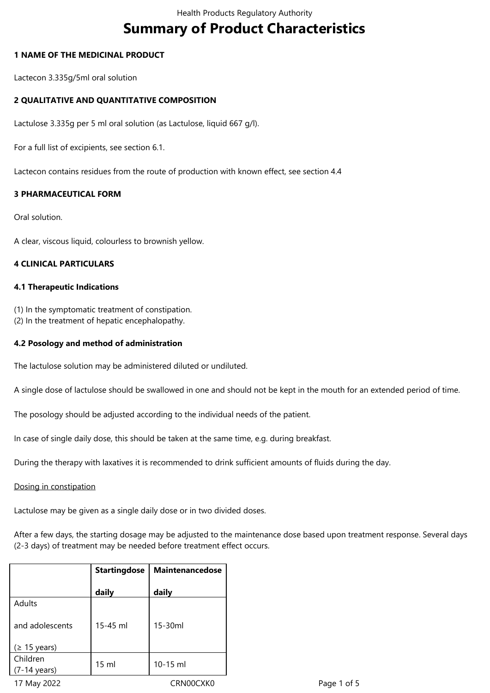# **Summary of Product Characteristics**

## **1 NAME OF THE MEDICINAL PRODUCT**

Lactecon 3.335g/5ml oral solution

## **2 QUALITATIVE AND QUANTITATIVE COMPOSITION**

Lactulose 3.335g per 5 ml oral solution (as Lactulose, liquid 667 g/l).

For a full list of excipients, see section 6.1.

Lactecon contains residues from the route of production with known effect, see section 4.4

# **3 PHARMACEUTICAL FORM**

Oral solution.

A clear, viscous liquid, colourless to brownish yellow.

## **4 CLINICAL PARTICULARS**

## **4.1 Therapeutic Indications**

(1) In the symptomatic treatment of constipation.

(2) In the treatment of hepatic encephalopathy.

## **4.2 Posology and method of administration**

The lactulose solution may be administered diluted or undiluted.

A single dose of lactulose should be swallowed in one and should not be kept in the mouth for an extended period of time.

The posology should be adjusted according to the individual needs of the patient.

In case of single daily dose, this should be taken at the same time, e.g. during breakfast.

During the therapy with laxatives it is recommended to drink sufficient amounts of fluids during the day.

#### Dosing in constipation

Lactulose may be given as a single daily dose or in two divided doses.

After a few days, the starting dosage may be adjusted to the maintenance dose based upon treatment response. Several days (2-3 days) of treatment may be needed before treatment effect occurs.

|                                    | <b>Startingdose</b> | Maintenancedose |  |
|------------------------------------|---------------------|-----------------|--|
|                                    | daily               | daily           |  |
| Adults                             |                     |                 |  |
| and adolescents                    | 15-45 ml            | $15-30ml$       |  |
| (≥ 15 years)                       |                     |                 |  |
| Children<br>$(7-14 \text{ years})$ | $15 \text{ ml}$     | $10-15$ ml      |  |
|                                    |                     |                 |  |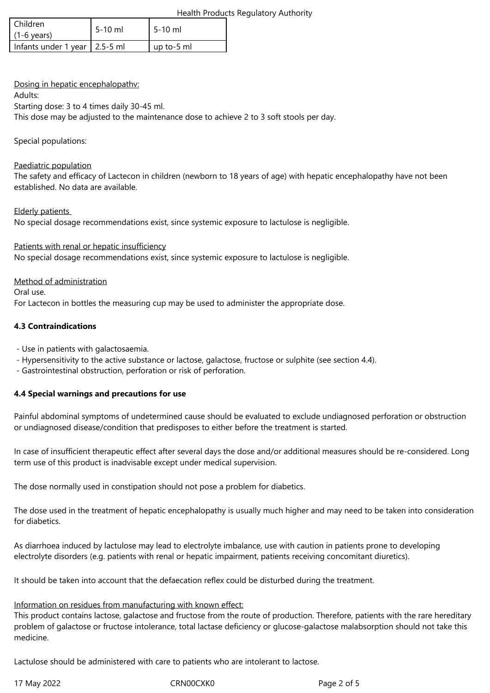### Health Products Regulatory Authority

| l Children<br>$(1-6 \text{ years})$ | 5-10 ml | $15-10$ ml |
|-------------------------------------|---------|------------|
| Infants under 1 year   2.5-5 ml     |         | up to-5 ml |

## Dosing in hepatic encephalopathv:

Adults:

Starting dose: 3 to 4 times daily 30-45 ml.

This dose may be adjusted to the maintenance dose to achieve 2 to 3 soft stools per day.

### Special populations:

### Paediatric population

The safety and efficacy of Lactecon in children (newborn to 18 years of age) with hepatic encephalopathy have not been established. No data are available.

## Elderly patients

No special dosage recommendations exist, since systemic exposure to lactulose is negligible.

## Patients with renal or hepatic insufficiency

No special dosage recommendations exist, since systemic exposure to lactulose is negligible.

## Method of administration

Oral use.

For Lactecon in bottles the measuring cup may be used to administer the appropriate dose.

## **4.3 Contraindications**

- Use in patients with galactosaemia.

- Hypersensitivity to the active substance or lactose, galactose, fructose or sulphite (see section 4.4).

- Gastrointestinal obstruction, perforation or risk of perforation.

# **4.4 Special warnings and precautions for use**

Painful abdominal symptoms of undetermined cause should be evaluated to exclude undiagnosed perforation or obstruction or undiagnosed disease/condition that predisposes to either before the treatment is started.

In case of insufficient therapeutic effect after several days the dose and/or additional measures should be re-considered. Long term use of this product is inadvisable except under medical supervision.

The dose normally used in constipation should not pose a problem for diabetics.

The dose used in the treatment of hepatic encephalopathy is usually much higher and may need to be taken into consideration for diabetics.

As diarrhoea induced by lactulose may lead to electrolyte imbalance, use with caution in patients prone to developing electrolyte disorders (e.g. patients with renal or hepatic impairment, patients receiving concomitant diuretics).

It should be taken into account that the defaecation reflex could be disturbed during the treatment.

#### Information on residues from manufacturing with known effect:

This product contains lactose, galactose and fructose from the route of production. Therefore, patients with the rare hereditary problem of galactose or fructose intolerance, total lactase deficiency or glucose-galactose malabsorption should not take this medicine.

Lactulose should be administered with care to patients who are intolerant to lactose.

17 May 2022 CRN00CXK0 Page 2 of 5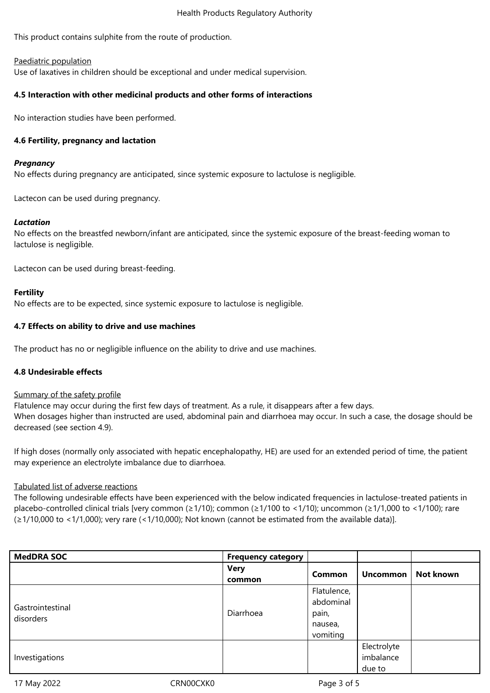#### Health Products Regulatory Authority

This product contains sulphite from the route of production.

#### Paediatric population

Use of laxatives in children should be exceptional and under medical supervision.

### **4.5 Interaction with other medicinal products and other forms of interactions**

No interaction studies have been performed.

### **4.6 Fertility, pregnancy and lactation**

### *Pregnancy*

No effects during pregnancy are anticipated, since systemic exposure to lactulose is negligible.

Lactecon can be used during pregnancy.

## *Lactation*

No effects on the breastfed newborn/infant are anticipated, since the systemic exposure of the breast-feeding woman to lactulose is negligible.

Lactecon can be used during breast-feeding.

## **Fertility**

No effects are to be expected, since systemic exposure to lactulose is negligible.

## **4.7 Effects on ability to drive and use machines**

The product has no or negligible influence on the ability to drive and use machines.

#### **4.8 Undesirable effects**

#### Summary of the safety profile

Flatulence may occur during the first few days of treatment. As a rule, it disappears after a few days. When dosages higher than instructed are used, abdominal pain and diarrhoea may occur. In such a case, the dosage should be decreased (see section 4.9).

If high doses (normally only associated with hepatic encephalopathy, HE) are used for an extended period of time, the patient may experience an electrolyte imbalance due to diarrhoea.

# Tabulated list of adverse reactions

The following undesirable effects have been experienced with the below indicated frequencies in lactulose-treated patients in placebo-controlled clinical trials [very common (≥1/10); common (≥1/100 to <1/10); uncommon (≥1/1,000 to <1/100); rare (≥1/10,000 to <1/1,000); very rare (<1/10,000); Not known (cannot be estimated from the available data)].

| <b>MedDRA SOC</b>             | <b>Frequency category</b> |                                                          |                                    |           |
|-------------------------------|---------------------------|----------------------------------------------------------|------------------------------------|-----------|
|                               | <b>Very</b><br>common     | <b>Common</b>                                            | <b>Uncommon</b>                    | Not known |
| Gastrointestinal<br>disorders | Diarrhoea                 | Flatulence,<br>abdominal<br>pain,<br>nausea,<br>vomiting |                                    |           |
| Investigations                |                           |                                                          | Electrolyte<br>imbalance<br>due to |           |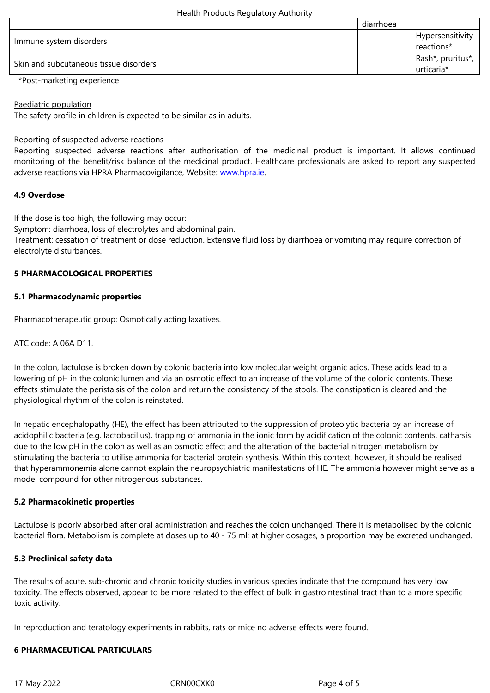| <u>immune system alsorders</u>         |  | reactions*                      |
|----------------------------------------|--|---------------------------------|
| Skin and subcutaneous tissue disorders |  | Rash*, pruritus*,<br>urticaria* |

\*Post-marketing experience

Paediatric population

The safety profile in children is expected to be similar as in adults.

### Reporting of suspected adverse reactions

Reporting suspected adverse reactions after authorisation of the medicinal product is important. It allows continued monitoring of the benefit/risk balance of the medicinal product. Healthcare professionals are asked to report any suspected adverse reactions via HPRA Pharmacovigilance, Website: www.hpra.ie.

## **4.9 Overdose**

If the dose is too high, the following may occur:

Symptom: diarrhoea, loss of electrolytes and abdominal pain.

Treatment: cessation of treatment or dose reduction. Extensive fluid loss by diarrhoea or vomiting may require correction of electrolyte disturbances.

## **5 PHARMACOLOGICAL PROPERTIES**

#### **5.1 Pharmacodynamic properties**

Pharmacotherapeutic group: Osmotically acting laxatives.

ATC code: A 06A D11.

In the colon, lactulose is broken down by colonic bacteria into low molecular weight organic acids. These acids lead to a lowering of pH in the colonic lumen and via an osmotic effect to an increase of the volume of the colonic contents. These effects stimulate the peristalsis of the colon and return the consistency of the stools. The constipation is cleared and the physiological rhythm of the colon is reinstated.

In hepatic encephalopathy (HE), the effect has been attributed to the suppression of proteolytic bacteria by an increase of acidophilic bacteria (e.g. lactobacillus), trapping of ammonia in the ionic form by acidification of the colonic contents, catharsis due to the low pH in the colon as well as an osmotic effect and the alteration of the bacterial nitrogen metabolism by stimulating the bacteria to utilise ammonia for bacterial protein synthesis. Within this context, however, it should be realised that hyperammonemia alone cannot explain the neuropsychiatric manifestations of HE. The ammonia however might serve as a model compound for other nitrogenous substances.

# **5.2 Pharmacokinetic properties**

Lactulose is poorly absorbed after oral administration and reaches the colon unchanged. There it is metabolised by the colonic bacterial flora. Metabolism is complete at doses up to 40 - 75 ml; at higher dosages, a proportion may be excreted unchanged.

# **5.3 Preclinical safety data**

The results of acute, sub-chronic and chronic toxicity studies in various species indicate that the compound has very low toxicity. The effects observed, appear to be more related to the effect of bulk in gastrointestinal tract than to a more specific toxic activity.

In reproduction and teratology experiments in rabbits, rats or mice no adverse effects were found.

# **6 PHARMACEUTICAL PARTICULARS**